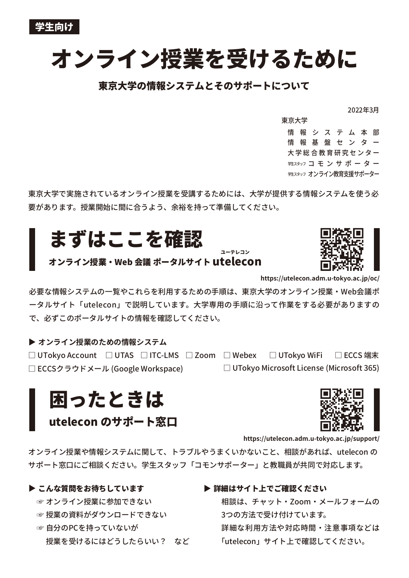# **オンライン授業を受けるために**

## **東京大学の情報システムとそのサポートについて**

2022年3月

情 報 シ ス テ ム 本 部 情 報 基 盤 セ ン タ ー 大学総合教育研究センター <sub>弊スタッフ</sub> コ モ ン サ ポ ー タ ー シサエスタッフ オンライン教育支援サポーター 東京大学

東京大学で実施されているオンライン授業を受講するためには、大学が提供する情報システムを使う必 要があります。授業開始に間に合うよう、余裕を持って準備してください。

# **まずはここを確認**

## **オンライン授業‧Web 会議 ポータルサイト utelecon**



**https://utelecon.adm.u-tokyo.ac.jp/oc/**

必要な情報システムの一覧やこれらを利用するための手順は、東京大学のオンライン授業‧Web会議ポ ータルサイト「utelecon」で説明しています。大学専用の手順に沿って作業をする必要がありますの で、必ずこのポータルサイトの情報を確認してください。

**ユーテレコン**

### **オンライン授業のための情報システム**

□ ECCS 端末 □ ECCSクラウドメール (Google Workspace) □ UTokyo Microsoft License (Microsoft 365) □ UTokyo Account □ UTAS □ ITC-LMS □ Zoom □ Webex □ UTokyo WiFi

**困ったときは**

**utelecon のサポート窓口**



**https://utelecon.adm.u-tokyo.ac.jp/support/**

オンライン授業や情報システムに関して、トラブルやうまくいかないこと、相談があれば、utelecon の サポート窓口にご相談ください。学生スタッフ「コモンサポーター」と教職員が共同で対応します。

#### **▶ こんな質問をお待ちしています**

- ☞ オンライン授業に参加できない
- ☞ 授業の資料がダウンロードできない
- ☞ 自分のPCを持っていないが 授業を受けるにはどうしたらいい? など

**▶詳細はサイト上でご確認ください** 

相談は、チャット‧Zoom‧メールフォームの 3つの方法で受け付けています。 詳細な利用方法や対応時間‧注意事項などは 「utelecon」サイト上で確認してください。